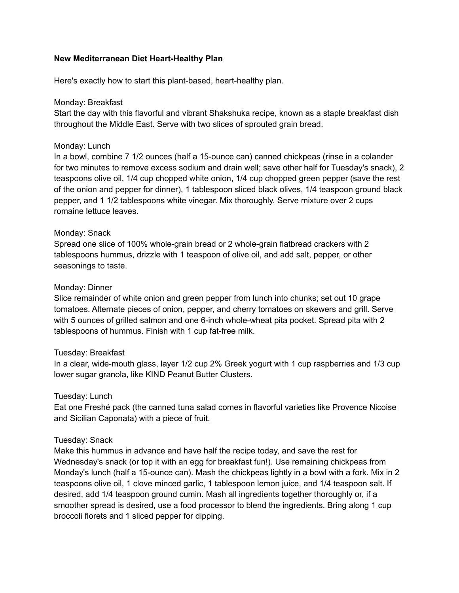# **New Mediterranean Diet Heart-Healthy Plan**

Here's exactly how to start this plant-based, heart-healthy plan.

# Monday: Breakfast

Start the day with this flavorful and vibrant Shakshuka recipe, known as a staple breakfast dish throughout the Middle East. Serve with two slices of sprouted grain bread.

# Monday: Lunch

In a bowl, combine 7 1/2 ounces (half a 15-ounce can) canned chickpeas (rinse in a colander for two minutes to remove excess sodium and drain well; save other half for Tuesday's snack), 2 teaspoons olive oil, 1/4 cup chopped white onion, 1/4 cup chopped green pepper (save the rest of the onion and pepper for dinner), 1 tablespoon sliced black olives, 1/4 teaspoon ground black pepper, and 1 1/2 tablespoons white vinegar. Mix thoroughly. Serve mixture over 2 cups romaine lettuce leaves.

# Monday: Snack

Spread one slice of 100% whole-grain bread or 2 whole-grain flatbread crackers with 2 tablespoons hummus, drizzle with 1 teaspoon of olive oil, and add salt, pepper, or other seasonings to taste.

## Monday: Dinner

Slice remainder of white onion and green pepper from lunch into chunks; set out 10 grape tomatoes. Alternate pieces of onion, pepper, and cherry tomatoes on skewers and grill. Serve with 5 ounces of grilled salmon and one 6-inch whole-wheat pita pocket. Spread pita with 2 tablespoons of hummus. Finish with 1 cup fat-free milk.

## Tuesday: Breakfast

In a clear, wide-mouth glass, layer 1/2 cup 2% Greek yogurt with 1 cup raspberries and 1/3 cup lower sugar granola, like KIND Peanut Butter Clusters.

## Tuesday: Lunch

Eat one Freshé pack (the canned tuna salad comes in flavorful varieties like Provence Nicoise and Sicilian Caponata) with a piece of fruit.

## Tuesday: Snack

Make this hummus in advance and have half the recipe today, and save the rest for Wednesday's snack (or top it with an egg for breakfast fun!). Use remaining chickpeas from Monday's lunch (half a 15-ounce can). Mash the chickpeas lightly in a bowl with a fork. Mix in 2 teaspoons olive oil, 1 clove minced garlic, 1 tablespoon lemon juice, and 1/4 teaspoon salt. If desired, add 1/4 teaspoon ground cumin. Mash all ingredients together thoroughly or, if a smoother spread is desired, use a food processor to blend the ingredients. Bring along 1 cup broccoli florets and 1 sliced pepper for dipping.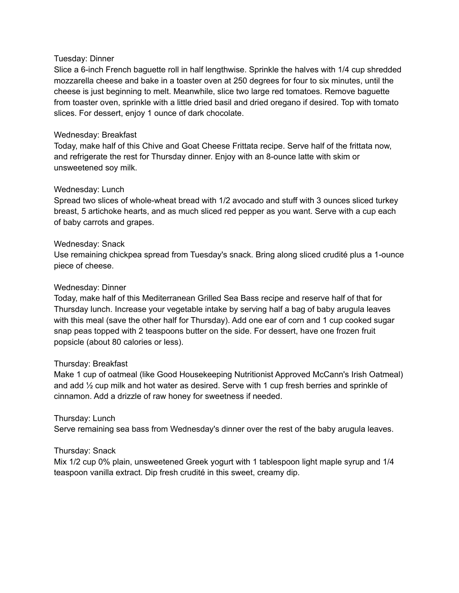### Tuesday: Dinner

Slice a 6-inch French baguette roll in half lengthwise. Sprinkle the halves with 1/4 cup shredded mozzarella cheese and bake in a toaster oven at 250 degrees for four to six minutes, until the cheese is just beginning to melt. Meanwhile, slice two large red tomatoes. Remove baguette from toaster oven, sprinkle with a little dried basil and dried oregano if desired. Top with tomato slices. For dessert, enjoy 1 ounce of dark chocolate.

## Wednesday: Breakfast

Today, make half of this Chive and Goat Cheese Frittata recipe. Serve half of the frittata now, and refrigerate the rest for Thursday dinner. Enjoy with an 8-ounce latte with skim or unsweetened soy milk.

### Wednesday: Lunch

Spread two slices of whole-wheat bread with 1/2 avocado and stuff with 3 ounces sliced turkey breast, 5 artichoke hearts, and as much sliced red pepper as you want. Serve with a cup each of baby carrots and grapes.

### Wednesday: Snack

Use remaining chickpea spread from Tuesday's snack. Bring along sliced crudité plus a 1-ounce piece of cheese.

### Wednesday: Dinner

Today, make half of this Mediterranean Grilled Sea Bass recipe and reserve half of that for Thursday lunch. Increase your vegetable intake by serving half a bag of baby arugula leaves with this meal (save the other half for Thursday). Add one ear of corn and 1 cup cooked sugar snap peas topped with 2 teaspoons butter on the side. For dessert, have one frozen fruit popsicle (about 80 calories or less).

#### Thursday: Breakfast

Make 1 cup of oatmeal (like Good Housekeeping Nutritionist Approved McCann's Irish Oatmeal) and add ½ cup milk and hot water as desired. Serve with 1 cup fresh berries and sprinkle of cinnamon. Add a drizzle of raw honey for sweetness if needed.

#### Thursday: Lunch

Serve remaining sea bass from Wednesday's dinner over the rest of the baby arugula leaves.

## Thursday: Snack

Mix 1/2 cup 0% plain, unsweetened Greek yogurt with 1 tablespoon light maple syrup and 1/4 teaspoon vanilla extract. Dip fresh crudité in this sweet, creamy dip.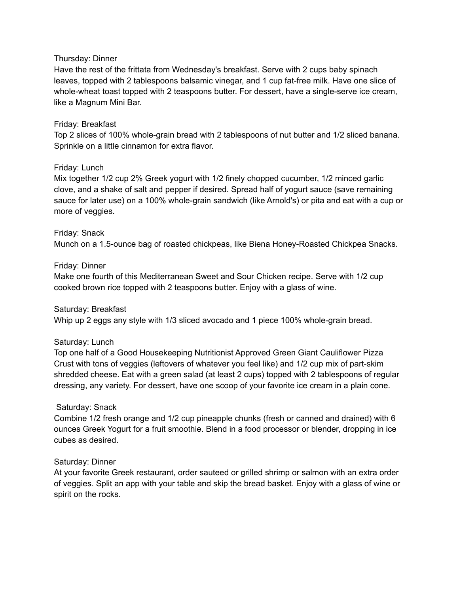### Thursday: Dinner

Have the rest of the frittata from Wednesday's breakfast. Serve with 2 cups baby spinach leaves, topped with 2 tablespoons balsamic vinegar, and 1 cup fat-free milk. Have one slice of whole-wheat toast topped with 2 teaspoons butter. For dessert, have a single-serve ice cream, like a Magnum Mini Bar.

### Friday: Breakfast

Top 2 slices of 100% whole-grain bread with 2 tablespoons of nut butter and 1/2 sliced banana. Sprinkle on a little cinnamon for extra flavor.

### Friday: Lunch

Mix together 1/2 cup 2% Greek yogurt with 1/2 finely chopped cucumber, 1/2 minced garlic clove, and a shake of salt and pepper if desired. Spread half of yogurt sauce (save remaining sauce for later use) on a 100% whole-grain sandwich (like Arnold's) or pita and eat with a cup or more of veggies.

### Friday: Snack

Munch on a 1.5-ounce bag of roasted chickpeas, like Biena Honey-Roasted Chickpea Snacks.

### Friday: Dinner

Make one fourth of this Mediterranean Sweet and Sour Chicken recipe. Serve with 1/2 cup cooked brown rice topped with 2 teaspoons butter. Enjoy with a glass of wine.

#### Saturday: Breakfast

Whip up 2 eggs any style with 1/3 sliced avocado and 1 piece 100% whole-grain bread.

#### Saturday: Lunch

Top one half of a Good Housekeeping Nutritionist Approved Green Giant Cauliflower Pizza Crust with tons of veggies (leftovers of whatever you feel like) and 1/2 cup mix of part-skim shredded cheese. Eat with a green salad (at least 2 cups) topped with 2 tablespoons of regular dressing, any variety. For dessert, have one scoop of your favorite ice cream in a plain cone.

## Saturday: Snack

Combine 1/2 fresh orange and 1/2 cup pineapple chunks (fresh or canned and drained) with 6 ounces Greek Yogurt for a fruit smoothie. Blend in a food processor or blender, dropping in ice cubes as desired.

## Saturday: Dinner

At your favorite Greek restaurant, order sauteed or grilled shrimp or salmon with an extra order of veggies. Split an app with your table and skip the bread basket. Enjoy with a glass of wine or spirit on the rocks.